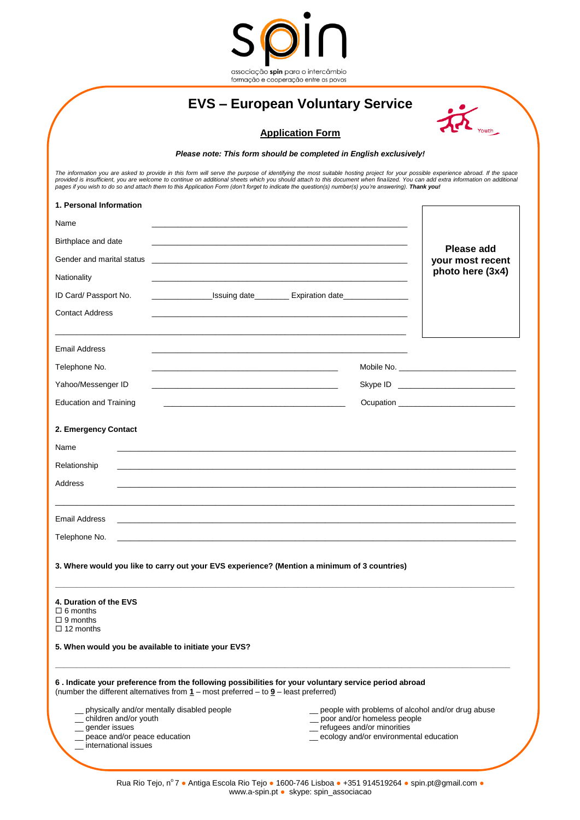

## **EVS – European Voluntary Service**

| Youth |
|-------|

## **Application Form**

*Please note: This form should be completed in English exclusively!* 

The information you are asked to provide in this form will serve the purpose of identifying the most suitable hosting project for your possible experience abroad. If the space<br>provided is insufficient, you are welcome to c

| 1. Personal Information                                                                                                                                                                           |                                                                                                                                                                  |
|---------------------------------------------------------------------------------------------------------------------------------------------------------------------------------------------------|------------------------------------------------------------------------------------------------------------------------------------------------------------------|
| Name                                                                                                                                                                                              |                                                                                                                                                                  |
| Birthplace and date                                                                                                                                                                               | Please add                                                                                                                                                       |
| Gender and marital status                                                                                                                                                                         | your most recent                                                                                                                                                 |
| Nationality                                                                                                                                                                                       | photo here (3x4)<br>the control of the control of the control of the control of the control of the control of the                                                |
| ID Card/ Passport No.                                                                                                                                                                             | and all all also services and also services and services are also services and services are also services and s                                                  |
| <b>Contact Address</b>                                                                                                                                                                            |                                                                                                                                                                  |
| Email Address                                                                                                                                                                                     |                                                                                                                                                                  |
| Telephone No.                                                                                                                                                                                     |                                                                                                                                                                  |
| Yahoo/Messenger ID                                                                                                                                                                                | Skype ID                                                                                                                                                         |
| <b>Education and Training</b>                                                                                                                                                                     |                                                                                                                                                                  |
| 2. Emergency Contact                                                                                                                                                                              |                                                                                                                                                                  |
| Name                                                                                                                                                                                              |                                                                                                                                                                  |
| Relationship                                                                                                                                                                                      |                                                                                                                                                                  |
| Address                                                                                                                                                                                           |                                                                                                                                                                  |
|                                                                                                                                                                                                   |                                                                                                                                                                  |
| Email Address                                                                                                                                                                                     |                                                                                                                                                                  |
| Telephone No.                                                                                                                                                                                     |                                                                                                                                                                  |
| 3. Where would you like to carry out your EVS experience? (Mention a minimum of 3 countries)                                                                                                      |                                                                                                                                                                  |
| 4. Duration of the EVS<br>$\Box$ 6 months<br>$\Box$ 9 months<br>$\Box$ 12 months                                                                                                                  |                                                                                                                                                                  |
| 5. When would you be available to initiate your EVS?                                                                                                                                              |                                                                                                                                                                  |
| 6. Indicate your preference from the following possibilities for your voluntary service period abroad<br>(number the different alternatives from $1$ – most preferred – to $9$ – least preferred) |                                                                                                                                                                  |
| physically and/or mentally disabled people<br>children and/or youth<br>gender issues<br>peace and/or peace education<br>international issues                                                      | _ people with problems of alcohol and/or drug abuse<br>_ poor and/or homeless people<br>_ refugees and/or minorities<br>_ ecology and/or environmental education |
|                                                                                                                                                                                                   | Rua Rio Tejo, nº 7 • Antiga Escola Rio Tejo • 1600-746 Lisboa • +351 914519264 • spin.pt@gmail.com •<br>www.a-spin.pt · skype: spin_associacao                   |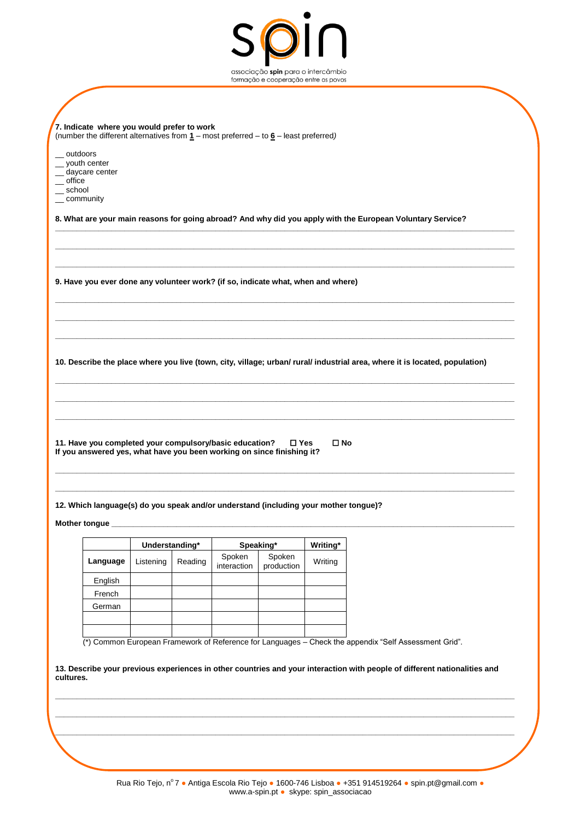

|                                                                                                                                   |                             |         |             | (number the different alternatives from $1$ – most preferred – to $6$ – least preferred) |                     |                                                                                                                             |
|-----------------------------------------------------------------------------------------------------------------------------------|-----------------------------|---------|-------------|------------------------------------------------------------------------------------------|---------------------|-----------------------------------------------------------------------------------------------------------------------------|
| _ outdoors<br>_ youth center<br>_ daycare center<br>$-$ office<br>$\equiv$ school<br>__ community                                 |                             |         |             |                                                                                          |                     |                                                                                                                             |
|                                                                                                                                   |                             |         |             |                                                                                          |                     | 8. What are your main reasons for going abroad? And why did you apply with the European Voluntary Service?                  |
| 9. Have you ever done any volunteer work? (if so, indicate what, when and where)                                                  |                             |         |             |                                                                                          |                     |                                                                                                                             |
|                                                                                                                                   |                             |         |             |                                                                                          |                     |                                                                                                                             |
|                                                                                                                                   |                             |         |             |                                                                                          |                     | 10. Describe the place where you live (town, city, village; urban/ rural/ industrial area, where it is located, population) |
|                                                                                                                                   |                             |         |             |                                                                                          |                     |                                                                                                                             |
|                                                                                                                                   |                             |         |             |                                                                                          |                     |                                                                                                                             |
|                                                                                                                                   |                             |         |             |                                                                                          |                     |                                                                                                                             |
| 11. Have you completed your compulsory/basic education?<br>If you answered yes, what have you been working on since finishing it? |                             |         |             | □ Yes                                                                                    | □ No                |                                                                                                                             |
| 12. Which language(s) do you speak and/or understand (including your mother tongue)?                                              |                             |         |             |                                                                                          |                     |                                                                                                                             |
| Mother tongue _                                                                                                                   |                             |         |             |                                                                                          |                     |                                                                                                                             |
| Language                                                                                                                          | Understanding*<br>Listening | Reading | Spoken      | Speaking*<br>Spoken                                                                      | Writing*<br>Writing |                                                                                                                             |
|                                                                                                                                   |                             |         | interaction | production                                                                               |                     |                                                                                                                             |
| English<br>French                                                                                                                 |                             |         |             |                                                                                          |                     |                                                                                                                             |
| German                                                                                                                            |                             |         |             |                                                                                          |                     |                                                                                                                             |
|                                                                                                                                   |                             |         |             |                                                                                          |                     |                                                                                                                             |
|                                                                                                                                   |                             |         |             |                                                                                          |                     | (*) Common European Framework of Reference for Languages - Check the appendix "Self Assessment Grid".                       |
| cultures.                                                                                                                         |                             |         |             |                                                                                          |                     | 13. Describe your previous experiences in other countries and your interaction with people of different nationalities and   |

**\_\_\_\_\_\_\_\_\_\_\_\_\_\_\_\_\_\_\_\_\_\_\_\_\_\_\_\_\_\_\_\_\_\_\_\_\_\_\_\_\_\_\_\_\_\_\_\_\_\_\_\_\_\_\_\_\_\_\_\_\_\_\_\_\_\_\_\_\_\_\_\_\_\_\_\_\_\_\_\_\_\_\_\_\_\_\_\_\_\_\_\_\_\_\_\_\_\_\_\_\_\_\_\_\_\_**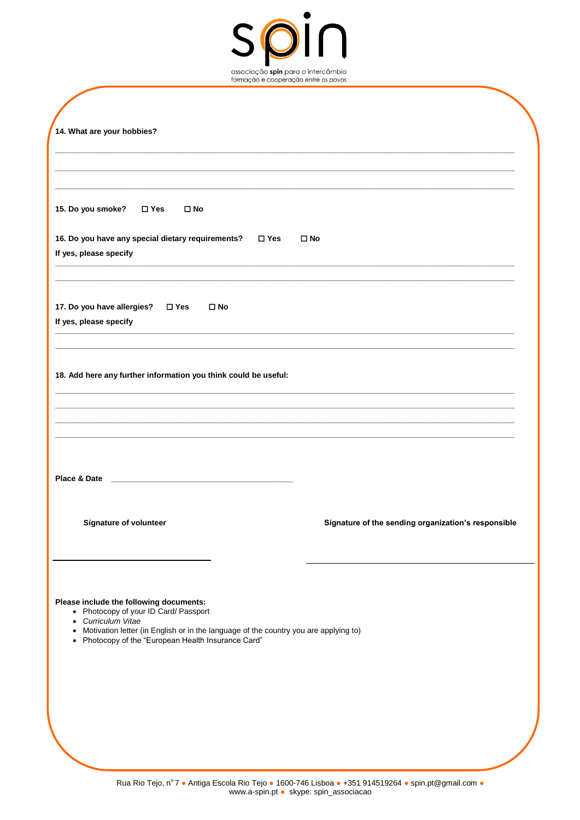

| 14. What are your hobbies?                                                                                                                                                                                                                                       |                                                     |
|------------------------------------------------------------------------------------------------------------------------------------------------------------------------------------------------------------------------------------------------------------------|-----------------------------------------------------|
|                                                                                                                                                                                                                                                                  |                                                     |
|                                                                                                                                                                                                                                                                  |                                                     |
| 15. Do you smoke?<br>$\square$ Yes<br>$\square$ No                                                                                                                                                                                                               |                                                     |
| 16. Do you have any special dietary requirements?<br>If yes, please specify                                                                                                                                                                                      | $\square$ Yes<br>$\square$ No                       |
| 17. Do you have allergies?<br>$\square$ Yes<br>$\square$ No<br>If yes, please specify                                                                                                                                                                            |                                                     |
| 18. Add here any further information you think could be useful:                                                                                                                                                                                                  |                                                     |
|                                                                                                                                                                                                                                                                  |                                                     |
| Place & Date<br>the control of the control of the control of the control of the control of the control of                                                                                                                                                        |                                                     |
| <b>Signature of volunteer</b>                                                                                                                                                                                                                                    | Signature of the sending organization's responsible |
|                                                                                                                                                                                                                                                                  |                                                     |
| Please include the following documents:<br>• Photocopy of your ID Card/ Passport<br>Curriculum Vitae<br>$\bullet$<br>Motivation letter (in English or in the language of the country you are applying to)<br>• Photocopy of the "European Health Insurance Card" |                                                     |
|                                                                                                                                                                                                                                                                  |                                                     |